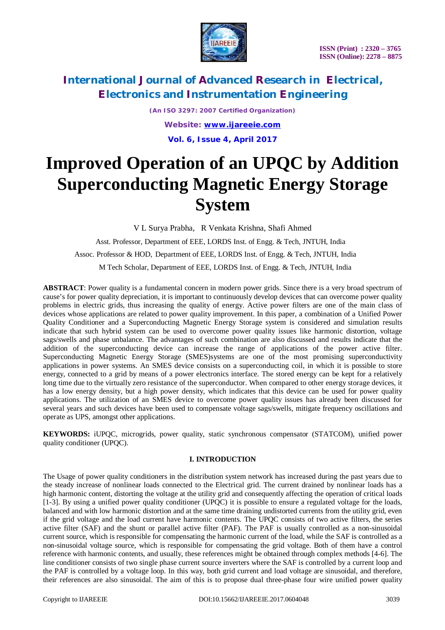

*(An ISO 3297: 2007 Certified Organization) Website: [www.ijareeie.com](http://www.ijareeie.com)* **Vol. 6, Issue 4, April 2017**

# **Improved Operation of an UPQC by Addition Superconducting Magnetic Energy Storage System**

V L Surya Prabha, R Venkata Krishna, Shafi Ahmed

 Asst. Professor, Department of EEE, LORDS Inst. of Engg. & Tech, JNTUH, India Assoc. Professor & HOD, Department of EEE, LORDS Inst. of Engg. & Tech, JNTUH, India M Tech Scholar, Department of EEE, LORDS Inst. of Engg. & Tech, JNTUH, India

**ABSTRACT**: Power quality is a fundamental concern in modern power grids. Since there is a very broad spectrum of cause's for power quality depreciation, it is important to continuously develop devices that can overcome power quality problems in electric grids, thus increasing the quality of energy. Active power filters are one of the main class of devices whose applications are related to power quality improvement. In this paper, a combination of a Unified Power Quality Conditioner and a Superconducting Magnetic Energy Storage system is considered and simulation results indicate that such hybrid system can be used to overcome power quality issues like harmonic distortion, voltage sags/swells and phase unbalance. The advantages of such combination are also discussed and results indicate that the addition of the superconducting device can increase the range of applications of the power active filter. Superconducting Magnetic Energy Storage (SMES)systems are one of the most promising superconductivity applications in power systems. An SMES device consists on a superconducting coil, in which it is possible to store energy, connected to a grid by means of a power electronics interface. The stored energy can be kept for a relatively long time due to the virtually zero resistance of the superconductor. When compared to other energy storage devices, it has a low energy density, but a high power density, which indicates that this device can be used for power quality applications. The utilization of an SMES device to overcome power quality issues has already been discussed for several years and such devices have been used to compensate voltage sags/swells, mitigate frequency oscillations and operate as UPS, amongst other applications.

**KEYWORDS:** iUPQC, microgrids, power quality, static synchronous compensator (STATCOM), unified power quality conditioner (UPQC).

### **I. INTRODUCTION**

The Usage of power quality conditioners in the distribution system network has increased during the past years due to the steady increase of nonlinear loads connected to the Electrical grid. The current drained by nonlinear loads has a high harmonic content, distorting the voltage at the utility grid and consequently affecting the operation of critical loads [1-3]. By using a unified power quality conditioner (UPQC) it is possible to ensure a regulated voltage for the loads, balanced and with low harmonic distortion and at the same time draining undistorted currents from the utility grid, even if the grid voltage and the load current have harmonic contents. The UPQC consists of two active filters, the series active filter (SAF) and the shunt or parallel active filter (PAF). The PAF is usually controlled as a non-sinusoidal current source, which is responsible for compensating the harmonic current of the load, while the SAF is controlled as a non-sinusoidal voltage source, which is responsible for compensating the grid voltage. Both of them have a control reference with harmonic contents, and usually, these references might be obtained through complex methods [4-6]. The line conditioner consists of two single phase current source inverters where the SAF is controlled by a current loop and the PAF is controlled by a voltage loop. In this way, both grid current and load voltage are sinusoidal, and therefore, their references are also sinusoidal. The aim of this is to propose dual three-phase four wire unified power quality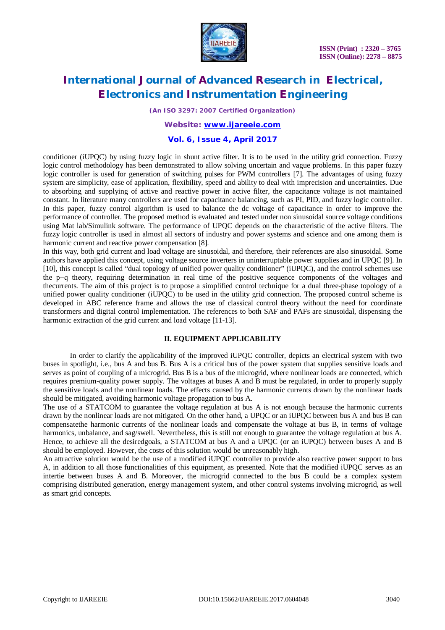

*(An ISO 3297: 2007 Certified Organization)*

### *Website: [www.ijareeie.com](http://www.ijareeie.com)*

### **Vol. 6, Issue 4, April 2017**

conditioner (iUPQC) by using fuzzy logic in shunt active filter. It is to be used in the utility grid connection. Fuzzy logic control methodology has been demonstrated to allow solving uncertain and vague problems. In this paper fuzzy logic controller is used for generation of switching pulses for PWM controllers [7]. The advantages of using fuzzy system are simplicity, ease of application, flexibility, speed and ability to deal with imprecision and uncertainties. Due to absorbing and supplying of active and reactive power in active filter, the capacitance voltage is not maintained constant. In literature many controllers are used for capacitance balancing, such as PI, PID, and fuzzy logic controller. In this paper, fuzzy control algorithm is used to balance the dc voltage of capacitance in order to improve the performance of controller. The proposed method is evaluated and tested under non sinusoidal source voltage conditions using Mat lab/Simulink software. The performance of UPQC depends on the characteristic of the active filters. The fuzzy logic controller is used in almost all sectors of industry and power systems and science and one among them is harmonic current and reactive power compensation [8].

In this way, both grid current and load voltage are sinusoidal, and therefore, their references are also sinusoidal. Some authors have applied this concept, using voltage source inverters in uninterruptable power supplies and in UPQC [9]. In [10], this concept is called "dual topology of unified power quality conditioner" (iUPQC), and the control schemes use the p−q theory, requiring determination in real time of the positive sequence components of the voltages and thecurrents. The aim of this project is to propose a simplified control technique for a dual three-phase topology of a unified power quality conditioner (iUPQC) to be used in the utility grid connection. The proposed control scheme is developed in ABC reference frame and allows the use of classical control theory without the need for coordinate transformers and digital control implementation. The references to both SAF and PAFs are sinusoidal, dispensing the harmonic extraction of the grid current and load voltage [11-13].

#### **II. EQUIPMENT APPLICABILITY**

In order to clarify the applicability of the improved iUPQC controller, depicts an electrical system with two buses in spotlight, i.e., bus A and bus B. Bus A is a critical bus of the power system that supplies sensitive loads and serves as point of coupling of a microgrid. Bus B is a bus of the microgrid, where nonlinear loads are connected, which requires premium-quality power supply. The voltages at buses A and B must be regulated, in order to properly supply the sensitive loads and the nonlinear loads. The effects caused by the harmonic currents drawn by the nonlinear loads should be mitigated, avoiding harmonic voltage propagation to bus A.

The use of a STATCOM to guarantee the voltage regulation at bus A is not enough because the harmonic currents drawn by the nonlinear loads are not mitigated. On the other hand, a UPQC or an iUPQC between bus A and bus B can compensatethe harmonic currents of the nonlinear loads and compensate the voltage at bus B, in terms of voltage harmonics, unbalance, and sag/swell. Nevertheless, this is still not enough to guarantee the voltage regulation at bus A. Hence, to achieve all the desiredgoals, a STATCOM at bus A and a UPQC (or an iUPQC) between buses A and B should be employed. However, the costs of this solution would be unreasonably high.

An attractive solution would be the use of a modified iUPQC controller to provide also reactive power support to bus A, in addition to all those functionalities of this equipment, as presented. Note that the modified iUPQC serves as an intertie between buses A and B. Moreover, the microgrid connected to the bus B could be a complex system comprising distributed generation, energy management system, and other control systems involving microgrid, as well as smart grid concepts.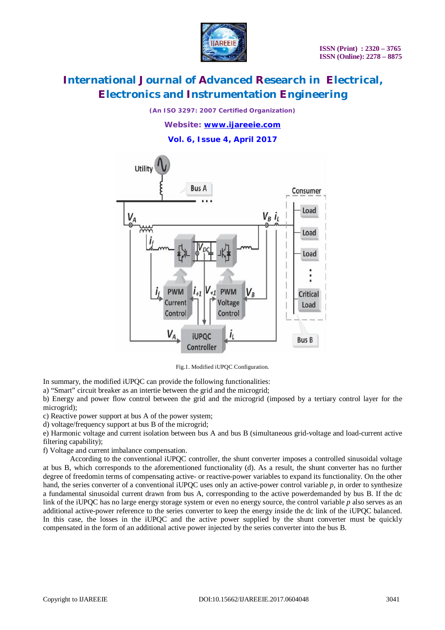

*(An ISO 3297: 2007 Certified Organization)*

*Website: [www.ijareeie.com](http://www.ijareeie.com)*

**Vol. 6, Issue 4, April 2017**



Fig.1. Modified iUPQC Configuration.

In summary, the modified iUPQC can provide the following functionalities:

a) "Smart" circuit breaker as an intertie between the grid and the microgrid;

b) Energy and power flow control between the grid and the microgrid (imposed by a tertiary control layer for the microgrid);

c) Reactive power support at bus A of the power system;

d) voltage/frequency support at bus B of the microgrid;

e) Harmonic voltage and current isolation between bus A and bus B (simultaneous grid-voltage and load-current active filtering capability);

f) Voltage and current imbalance compensation.

According to the conventional iUPQC controller, the shunt converter imposes a controlled sinusoidal voltage at bus B, which corresponds to the aforementioned functionality (d). As a result, the shunt converter has no further degree of freedomin terms of compensating active- or reactive-power variables to expand its functionality. On the other hand, the series converter of a conventional iUPQC uses only an active-power control variable *p*, in order to synthesize a fundamental sinusoidal current drawn from bus A, corresponding to the active powerdemanded by bus B. If the dc link of the iUPQC has no large energy storage system or even no energy source, the control variable *p* also serves as an additional active-power reference to the series converter to keep the energy inside the dc link of the iUPQC balanced. In this case, the losses in the iUPQC and the active power supplied by the shunt converter must be quickly compensated in the form of an additional active power injected by the series converter into the bus B.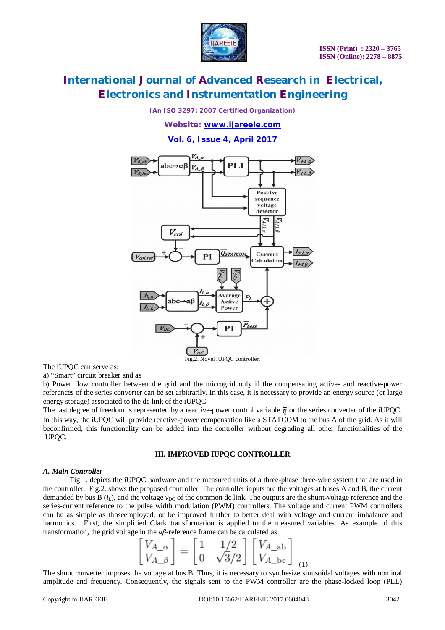

*(An ISO 3297: 2007 Certified Organization)*

*Website: [www.ijareeie.com](http://www.ijareeie.com)*

**Vol. 6, Issue 4, April 2017**



The iUPQC can serve as:

a) "Smart" circuit breaker and as

b) Power flow controller between the grid and the microgrid only if the compensating active- and reactive-power references of the series converter can be set arbitrarily. In this case, it is necessary to provide an energy source (or large energy storage) associated to the dc link of the iUPQC.

The last degree of freedom is represented by a reactive-power control variable  $\bar{q}$  for the series converter of the iUPQC. In this way, the iUPQC will provide reactive-power compensation like a STATCOM to the bus A of the grid. As it will beconfirmed, this functionality can be added into the controller without degrading all other functionalities of the iUPQC.

#### **III. IMPROVED IUPQC CONTROLLER**

#### *A. Main Controller*

Fig.1. depicts the iUPQC hardware and the measured units of a three-phase three-wire system that are used in the controller. Fig.2. shows the proposed controller. The controller inputs are the voltages at buses A and B, the current demanded by bus B  $(i_l)$ , and the voltage  $v_{DC}$  of the common dc link. The outputs are the shunt-voltage reference and the series-current reference to the pulse width modulation (PWM) controllers. The voltage and current PWM controllers can be as simple as thoseemployed, or be improved further to better deal with voltage and current imbalance and harmonics. First, the simplified Clark transformation is applied to the measured variables. As example of this transformation, the grid voltage in the *αβ*-reference frame can be calculated as

$$
\begin{bmatrix} V_{A_{\alpha}} \\ V_{A_{\beta}} \end{bmatrix} = \begin{bmatrix} 1 & 1/2 \\ 0 & \sqrt{3}/2 \end{bmatrix} \begin{bmatrix} V_{A_{\alpha}} \\ V_{A_{\alpha}} \end{bmatrix}_{(1)}
$$

The shunt converter imposes the voltage at bus B. Thus, it is necessary to synthesize sinusoidal voltages with nominal amplitude and frequency. Consequently, the signals sent to the PWM controller are the phase-locked loop (PLL)

 $\lambda$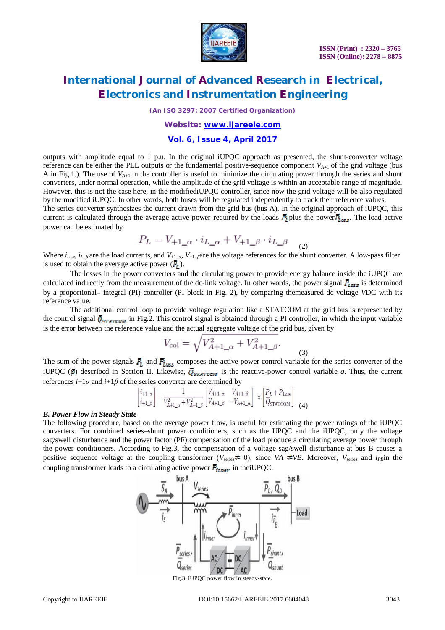

*(An ISO 3297: 2007 Certified Organization)*

### *Website: [www.ijareeie.com](http://www.ijareeie.com)*

### **Vol. 6, Issue 4, April 2017**

outputs with amplitude equal to 1 p.u. In the original iUPQC approach as presented, the shunt-converter voltage reference can be either the PLL outputs or the fundamental positive-sequence component  $V_{A+1}$  of the grid voltage (bus A in Fig.1.). The use of  $V_{A+1}$  in the controller is useful to minimize the circulating power through the series and shunt converters, under normal operation, while the amplitude of the grid voltage is within an acceptable range of magnitude. However, this is not the case here, in the modifiediUPQC controller, since now the grid voltage will be also regulated by the modified iUPQC. In other words, both buses will be regulated independently to track their reference values.

The series converter synthesizes the current drawn from the grid bus (bus A). In the original approach of iUPQC, this current is calculated through the average active power required by the loads  $\bar{P}_L$  plus the power  $\bar{P}_{Lax}$ . The load active power can be estimated by

$$
P_L = V_{+1\_\alpha} \cdot i_{L\_\alpha} + V_{+1\_\beta} \cdot i_{L\_\beta} \tag{2}
$$

Where  $i_{L,\alpha}$ ,  $i_{L,\beta}$  are the load currents, and  $V_{+1,\alpha}$ ,  $V_{+1,\beta}$  are the voltage references for the shunt converter. A low-pass filter is used to obtain the average active power  $(\vec{P}_r)$ .

The losses in the power converters and the circulating power to provide energy balance inside the iUPQC are calculated indirectly from the measurement of the dc-link voltage. In other words, the power signal  $\bar{F}_{\text{loss}}$  is determined by a proportional– integral (PI) controller (PI block in Fig. 2), by comparing themeasured dc voltage *V*DC with its reference value.

The additional control loop to provide voltage regulation like a STATCOM at the grid bus is represented by the control signal  $\bar{Q}_{\text{STATCOM}}$  in Fig.2. This control signal is obtained through a PI controller, in which the input variable is the error between the reference value and the actual aggregate voltage of the grid bus, given by

$$
V_{\text{col}} = \sqrt{V_{A+1_{\text{r}}}}^2 + V_{A+1_{\text{r}}}^2.
$$
 (3)

The sum of the power signals  $\vec{P}_{i}$  and  $\vec{P}_{i}$  composes the active-power control variable for the series converter of the iUPQC ( $\bar{p}$ ) described in Section II. Likewise,  $\bar{Q}_{SFRTCOM}$  is the reactive-power control variable *q*. Thus, the current references *i*+1*α* and *i*+1*β* of the series converter are determined by

$$
\begin{bmatrix} i_{+1\_\alpha} \\ i_{+1\_\beta} \end{bmatrix} = \frac{1}{V_{A+1\_\alpha}^2 + V_{A+1\_\beta}^2} \begin{bmatrix} V_{A+1\_\alpha} & V_{A+1\_\beta} \\ V_{A+1\_\beta} & -V_{A+1\_\alpha} \end{bmatrix} \times \begin{bmatrix} \overline{P}_L + \overline{P}_{\text{Loss}} \\ \overline{Q}_{\text{STATCOM}} \end{bmatrix}
$$
 (4)

#### *B. Power Flow in Steady State*

The following procedure, based on the average power flow, is useful for estimating the power ratings of the iUPQC converters. For combined series–shunt power conditioners, such as the UPQC and the iUPQC, only the voltage sag/swell disturbance and the power factor (PF) compensation of the load produce a circulating average power through the power conditioners. According to Fig.3, the compensation of a voltage sag/swell disturbance at bus B causes a positive sequence voltage at the coupling transformer ( $V_{\text{series}} \neq 0$ ), since *VA*  $\neq VB$ . Moreover,  $V_{\text{series}}$  and  $i_{PB}$ in the coupling transformer leads to a circulating active power  $\bar{P}_{inner}$  in the UPQC.

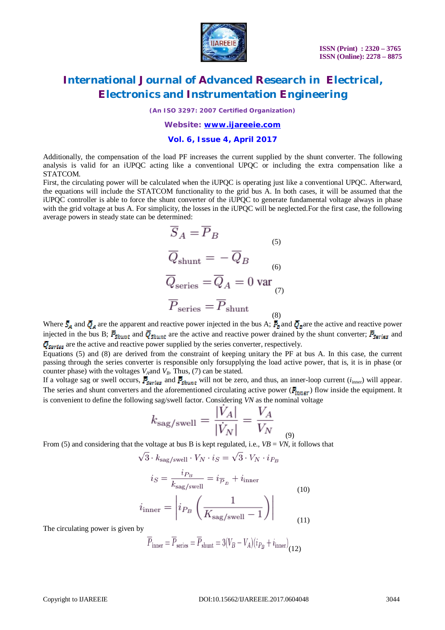

*(An ISO 3297: 2007 Certified Organization)*

### *Website: [www.ijareeie.com](http://www.ijareeie.com)*

### **Vol. 6, Issue 4, April 2017**

Additionally, the compensation of the load PF increases the current supplied by the shunt converter. The following analysis is valid for an iUPQC acting like a conventional UPQC or including the extra compensation like a STATCOM.

First, the circulating power will be calculated when the iUPOC is operating just like a conventional UPOC. Afterward, the equations will include the STATCOM functionality to the grid bus A. In both cases, it will be assumed that the iUPQC controller is able to force the shunt converter of the iUPQC to generate fundamental voltage always in phase with the grid voltage at bus A. For simplicity, the losses in the iUPQC will be neglected.For the first case, the following average powers in steady state can be determined:

$$
\overline{S}_A = \overline{P}_B
$$
\n
$$
\overline{Q}_{shunt} = -\overline{Q}_B
$$
\n
$$
\overline{Q}_{series} = \overline{Q}_A = 0 \text{ var}
$$
\n
$$
\overline{P}_{series} = \overline{P}_{shunt}
$$
\n(8)

Where  $\bar{S}_A$  and  $\bar{Q}_A$  are the apparent and reactive power injected in the bus A;  $\bar{P}_B$  and  $\bar{Q}_B$  are the active and reactive power injected in the bus B;  $\bar{F}_{shunt}$  and  $\bar{Q}_{shunt}$  are the active and reactive power drained by the shunt converter;  $\bar{F}_{series}$  and  $\bar{Q}_{\text{Sertes}}$  are the active and reactive power supplied by the series converter, respectively.

Equations (5) and (8) are derived from the constraint of keeping unitary the PF at bus A. In this case, the current passing through the series converter is responsible only forsupplying the load active power, that is, it is in phase (or counter phase) with the voltages  $V_A$  and  $V_B$ . Thus, (7) can be stated.

If a voltage sag or swell occurs,  $\bar{P}_{\text{Series}}$  and  $\bar{P}_{\text{shunt}}$  will not be zero, and thus, an inner-loop current ( $i_{\text{inner}}$ ) will appear. The series and shunt converters and the aforementioned circulating active power ( $\bar{P}_{inner}$ ) flow inside the equipment. It is convenient to define the following sag/swell factor. Considering *VN* as the nominal voltage

$$
k_{\text{sag/swell}} = \frac{|V_A|}{|\dot{V}_N|} = \frac{V_A}{V_N}
$$

(9) From (5) and considering that the voltage at bus B is kept regulated, i.e.,  $VB = VN$ , it follows that

 $\sqrt{3} \cdot k_{\text{sag/swell}} \cdot V_N \cdot i_S = \sqrt{3} \cdot V_N \cdot i_{P_B}$ 

$$
i_S = \frac{i_{P_B}}{k_{\text{sag/swell}}} = i_{\overline{P}_B} + i_{\text{inner}}
$$
  

$$
i_{\text{inner}} = \left| i_{P_B} \left( \frac{1}{K_{\text{sag/swell}} - 1} \right) \right|
$$
 (10)

The circulating power is given by

$$
\overline{P}_{\text{inner}} = \overline{P}_{\text{series}} = \overline{P}_{\text{shunt}} = 3(V_B - V_A)(i_{P_B} + i_{\text{inner}})_{(12)}
$$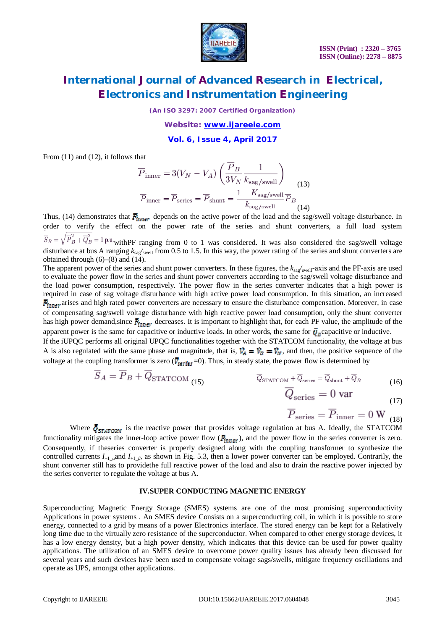

*(An ISO 3297: 2007 Certified Organization)*

*Website: [www.ijareeie.com](http://www.ijareeie.com)*

**Vol. 6, Issue 4, April 2017**

From (11) and (12), it follows that

$$
\overline{P}_{\text{inner}} = 3(V_N - V_A) \left( \frac{\overline{P}_B}{3V_N} \frac{1}{k_{\text{sag/swell}}} \right)
$$
\n
$$
\overline{P}_{\text{inner}} = \overline{P}_{\text{series}} = \overline{P}_{\text{shunt}} = \frac{1 - K_{\text{sag/swell}}}{k_{\text{sag/swell}}} \overline{P}_B
$$
\n(14)

Thus, (14) demonstrates that  $\vec{P}_{inner}$  depends on the active power of the load and the sag/swell voltage disturbance. In order to verify the effect on the power rate of the series and shunt converters, a full load system

 $\overline{S}_B = \sqrt{\overline{P}_B^2 + \overline{Q}_B^2} = 1$  p.u.<sub>with</sub>PF ranging from 0 to 1 was considered. It was also considered the sag/swell voltage disturbance at bus A ranging *k*sag*/*swell from 0.5 to 1.5. In this way, the power rating of the series and shunt converters are obtained through  $(6)$ – $(8)$  and  $(14)$ .

The apparent power of the series and shunt power converters. In these figures, the  $k_{\text{sar}}/$ <sub>swell</sub>-axis and the PF-axis are used to evaluate the power flow in the series and shunt power converters according to the sag/swell voltage disturbance and the load power consumption, respectively. The power flow in the series converter indicates that a high power is required in case of sag voltage disturbance with high active power load consumption. In this situation, an increased  $\bar{P}_{inner}$  arises and high rated power converters are necessary to ensure the disturbance compensation. Moreover, in case of compensating sag/swell voltage disturbance with high reactive power load consumption, only the shunt converter has high power demand, since  $\bar{P}_{inner}$  decreases. It is important to highlight that, for each PF value, the amplitude of the apparent power is the same for capacitive or inductive loads. In other words, the same for  $\bar{Q}_z$  capacitive or inductive.

If the iUPQC performs all original UPQC functionalities together with the STATCOM functionality, the voltage at bus A is also regulated with the same phase and magnitude, that is,  $\vec{V}_A = \vec{V}_B = \vec{V}_M$ , and then, the positive sequence of the voltage at the coupling transformer is zero ( $\bar{V}_{\text{series}}$ =0). Thus, in steady state, the power flow is determined by

$$
\overline{S}_A = \overline{P}_B + \overline{Q}_{\text{STATCOM (15)}} \qquad \qquad \overline{Q}_{\text{STATCOM}} + \overline{Q}_{\text{series}} = \overline{Q}_{\text{shunt}} + \overline{Q}_B \qquad (16)
$$

$$
Q_{\text{series}} = 0 \text{ var} \tag{17}
$$

$$
\overline{P}_{\text{series}} = \overline{P}_{\text{inner}} = 0 \,\text{W}_{(18)}
$$

Where  $\bar{Q}_{\text{STATCOM}}$  is the reactive power that provides voltage regulation at bus A. Ideally, the STATCOM functionality mitigates the inner-loop active power flow ( $\bar{P}_{inner}$ ), and the power flow in the series converter is zero. Consequently, if theseries converter is properly designed along with the coupling transformer to synthesize the controlled currents  $I_{+1}$   $_{a}$  and  $I_{+1}$   $_{b}$ , as shown in Fig. 5.3, then a lower power converter can be employed. Contrarily, the shunt converter still has to providethe full reactive power of the load and also to drain the reactive power injected by the series converter to regulate the voltage at bus A.

#### **IV.SUPER CONDUCTING MAGNETIC ENERGY**

Superconducting Magnetic Energy Storage (SMES) systems are one of the most promising superconductivity Applications in power systems . An SMES device Consists on a superconducting coil, in which it is possible to store energy, connected to a grid by means of a power Electronics interface. The stored energy can be kept for a Relatively long time due to the virtually zero resistance of the superconductor. When compared to other energy storage devices, it has a low energy density, but a high power density, which indicates that this device can be used for power quality applications. The utilization of an SMES device to overcome power quality issues has already been discussed for several years and such devices have been used to compensate voltage sags/swells, mitigate frequency oscillations and operate as UPS, amongst other applications.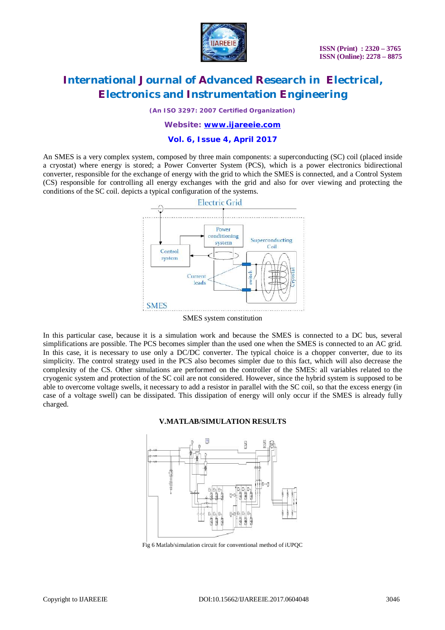

*(An ISO 3297: 2007 Certified Organization)*

### *Website: [www.ijareeie.com](http://www.ijareeie.com)*

### **Vol. 6, Issue 4, April 2017**

An SMES is a very complex system, composed by three main components: a superconducting (SC) coil (placed inside a cryostat) where energy is stored; a Power Converter System (PCS), which is a power electronics bidirectional converter, responsible for the exchange of energy with the grid to which the SMES is connected, and a Control System (CS) responsible for controlling all energy exchanges with the grid and also for over viewing and protecting the conditions of the SC coil. depicts a typical configuration of the systems.



SMES system constitution

In this particular case, because it is a simulation work and because the SMES is connected to a DC bus, several simplifications are possible. The PCS becomes simpler than the used one when the SMES is connected to an AC grid. In this case, it is necessary to use only a DC/DC converter. The typical choice is a chopper converter, due to its simplicity. The control strategy used in the PCS also becomes simpler due to this fact, which will also decrease the complexity of the CS. Other simulations are performed on the controller of the SMES: all variables related to the cryogenic system and protection of the SC coil are not considered. However, since the hybrid system is supposed to be able to overcome voltage swells, it necessary to add a resistor in parallel with the SC coil, so that the excess energy (in case of a voltage swell) can be dissipated. This dissipation of energy will only occur if the SMES is already fully charged.

#### **V.MATLAB/SIMULATION RESULTS**



Fig 6 Matlab/simulation circuit for conventional method of iUPQC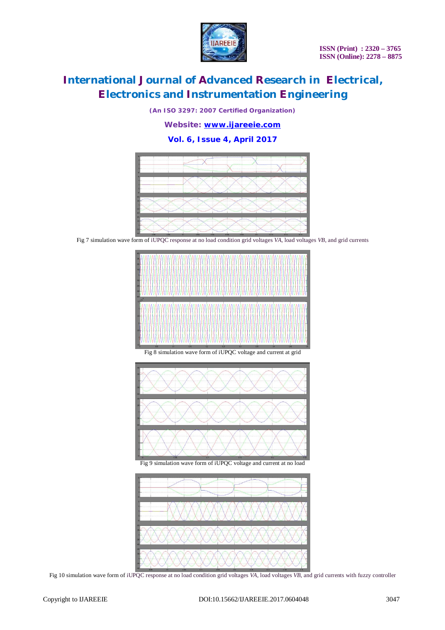

*(An ISO 3297: 2007 Certified Organization)*

*Website: [www.ijareeie.com](http://www.ijareeie.com)*

### **Vol. 6, Issue 4, April 2017**



Fig 7 simulation wave form of iUPQC response at no load condition grid voltages *VA*, load voltages *VB*, and grid currents



Fig 9 simulation wave form of iUPQC voltage and current at no load



Fig 10 simulation wave form of iUPQC response at no load condition grid voltages *VA*, load voltages *VB*, and grid currents with fuzzy controller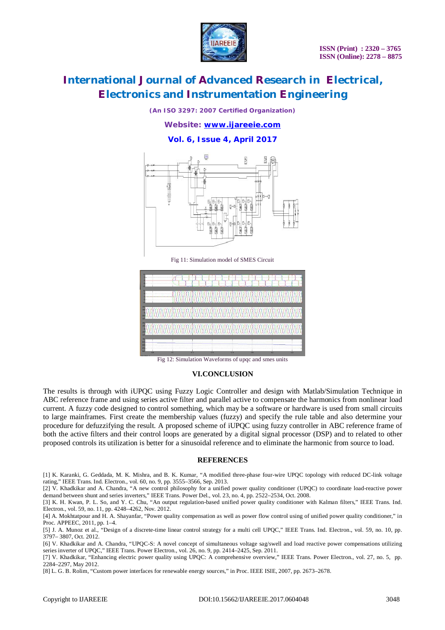

*(An ISO 3297: 2007 Certified Organization)*

*Website: [www.ijareeie.com](http://www.ijareeie.com)*

**Vol. 6, Issue 4, April 2017**



Fig 11: Simulation model of SMES Circuit



Fig 12: Simulation Waveforms of upqc and smes units

#### **VI.CONCLUSION**

The results is through with iUPQC using Fuzzy Logic Controller and design with Matlab/Simulation Technique in ABC reference frame and using series active filter and parallel active to compensate the harmonics from nonlinear load current. A fuzzy code designed to control something, which may be a software or hardware is used from small circuits to large mainframes. First create the membership values (fuzzy) and specify the rule table and also determine your procedure for defuzzifying the result. A proposed scheme of iUPQC using fuzzy controller in ABC reference frame of both the active filters and their control loops are generated by a digital signal processor (DSP) and to related to other proposed controls its utilization is better for a sinusoidal reference and to eliminate the harmonic from source to load.

#### **REFERENCES**

[1] K. Karanki, G. Geddada, M. K. Mishra, and B. K. Kumar, "A modified three-phase four-wire UPQC topology with reduced DC-link voltage rating," IEEE Trans. Ind. Electron., vol. 60, no. 9, pp. 3555–3566, Sep. 2013.

[2] V. Khadkikar and A. Chandra, "A new control philosophy for a unified power quality conditioner (UPQC) to coordinate load-reactive power demand between shunt and series inverters," IEEE Trans. Power Del., vol. 23, no. 4, pp. 2522–2534, Oct. 2008.

[3] K. H. Kwan, P. L. So, and Y. C. Chu, "An output regulation-based unified power quality conditioner with Kalman filters," IEEE Trans. Ind. Electron., vol. 59, no. 11, pp. 4248–4262, Nov. 2012.

[4] A. Mokhtatpour and H. A. Shayanfar, "Power quality compensation as well as power flow control using of unified power quality conditioner," in Proc. APPEEC, 2011, pp. 1–4.

[5] J. A. Munoz et al., "Design of a discrete-time linear control strategy for a multi cell UPQC," IEEE Trans. Ind. Electron., vol. 59, no. 10, pp. 3797– 3807, Oct. 2012.

[6] V. Khadkikar and A. Chandra, "UPQC-S: A novel concept of simultaneous voltage sag/swell and load reactive power compensations utilizing series inverter of UPQC," IEEE Trans. Power Electron., vol. 26, no. 9, pp. 2414–2425, Sep. 2011.

[7] V. Khadkikar, "Enhancing electric power quality using UPQC: A comprehensive overview," IEEE Trans. Power Electron., vol. 27, no. 5, pp. 2284–2297, May 2012.

[8] L. G. B. Rolim, "Custom power interfaces for renewable energy sources," in Proc. IEEE ISIE, 2007, pp. 2673–2678.